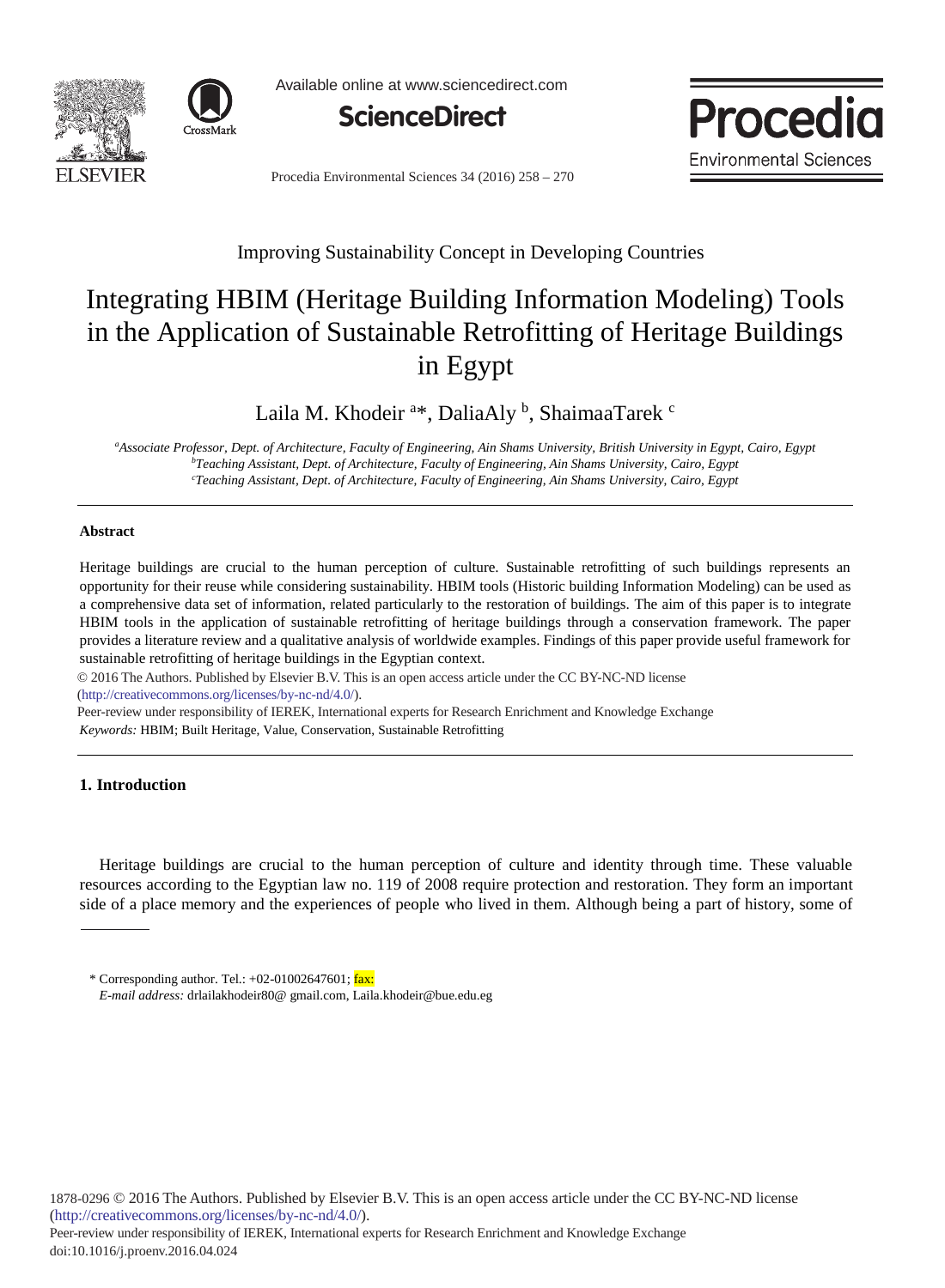



Available online at www.sciencedirect.com



Procedia Environmental Sciences 34 (2016) 258 - 270



# Improving Sustainability Concept in Developing Countries

# Integrating HBIM (Heritage Building Information Modeling) Tools in the Application of Sustainable Retrofitting of Heritage Buildings in Egypt

Laila M. Khodeir <sup>a\*</sup>, DaliaAly <sup>b</sup>, ShaimaaTarek <sup>c</sup>

*a Associate Professor, Dept. of Architecture, Faculty of Engineering, Ain Shams University, British University in Egypt, Cairo, Egypt b Teaching Assistant, Dept. of Architecture, Faculty of Engineering, Ain Shams University, Cairo, Egypt c Teaching Assistant, Dept. of Architecture, Faculty of Engineering, Ain Shams University, Cairo, Egypt* 

#### **Abstract**

Heritage buildings are crucial to the human perception of culture. Sustainable retrofitting of such buildings represents an opportunity for their reuse while considering sustainability. HBIM tools (Historic building Information Modeling) can be used as a comprehensive data set of information, related particularly to the restoration of buildings. The aim of this paper is to integrate HBIM tools in the application of sustainable retrofitting of heritage buildings through a conservation framework. The paper provides a literature review and a qualitative analysis of worldwide examples. Findings of this paper provide useful framework for sustainable retrofitting of heritage buildings in the Egyptian context.

© 2016 The Authors. Published by Elsevier B.V. © 2016 The Authors. Published by Elsevier B.V. This is an open access article under the CC BY-NC-ND license (http://creativecommons.org/licenses/by-nc-nd/4.0/).

*Keywords:* HBIM; Built Heritage, Value, Conservation, Sustainable Retrofitting Peer-review under responsibility of IEREK, International experts for Research Enrichment and Knowledge Exchange

## **1. Introduction**

Heritage buildings are crucial to the human perception of culture and identity through time. These valuable resources according to the Egyptian law no. 119 of 2008 require protection and restoration. They form an important side of a place memory and the experiences of people who lived in them. Although being a part of history, some of

<sup>\*</sup> Corresponding author. Tel.: +02-01002647601; fax: *E-mail address:* drlailakhodeir80@ gmail.com, Laila.khodeir@bue.edu.eg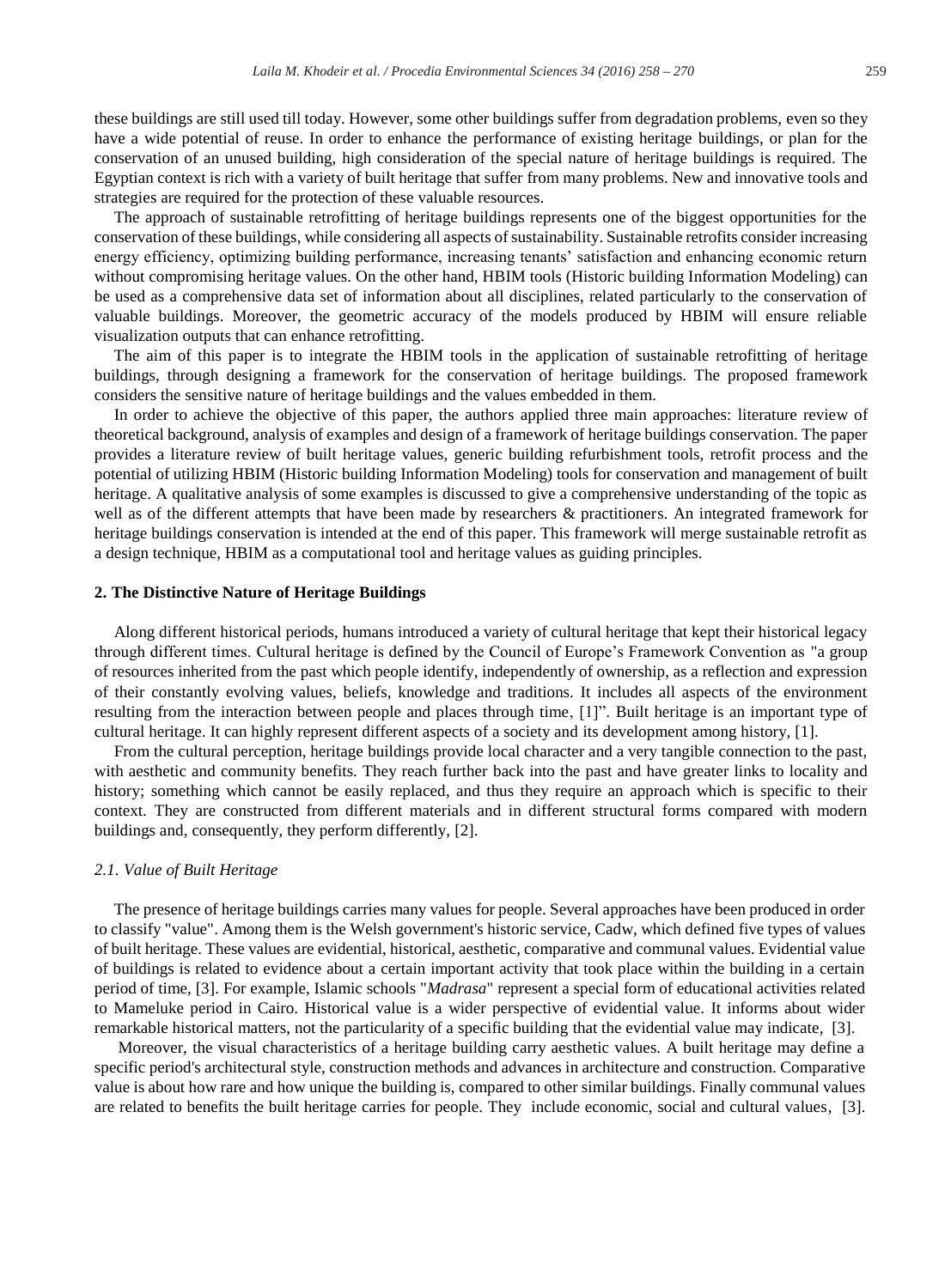these buildings are still used till today. However, some other buildings suffer from degradation problems, even so they have a wide potential of reuse. In order to enhance the performance of existing heritage buildings, or plan for the conservation of an unused building, high consideration of the special nature of heritage buildings is required. The Egyptian context is rich with a variety of built heritage that suffer from many problems. New and innovative tools and strategies are required for the protection of these valuable resources.

The approach of sustainable retrofitting of heritage buildings represents one of the biggest opportunities for the conservation of these buildings, while considering all aspects of sustainability. Sustainable retrofits consider increasing energy efficiency, optimizing building performance, increasing tenants' satisfaction and enhancing economic return without compromising heritage values. On the other hand, HBIM tools (Historic building Information Modeling) can be used as a comprehensive data set of information about all disciplines, related particularly to the conservation of valuable buildings. Moreover, the geometric accuracy of the models produced by HBIM will ensure reliable visualization outputs that can enhance retrofitting.

The aim of this paper is to integrate the HBIM tools in the application of sustainable retrofitting of heritage buildings, through designing a framework for the conservation of heritage buildings. The proposed framework considers the sensitive nature of heritage buildings and the values embedded in them.

In order to achieve the objective of this paper, the authors applied three main approaches: literature review of theoretical background, analysis of examples and design of a framework of heritage buildings conservation. The paper provides a literature review of built heritage values, generic building refurbishment tools, retrofit process and the potential of utilizing HBIM (Historic building Information Modeling) tools for conservation and management of built heritage. A qualitative analysis of some examples is discussed to give a comprehensive understanding of the topic as well as of the different attempts that have been made by researchers & practitioners. An integrated framework for heritage buildings conservation is intended at the end of this paper. This framework will merge sustainable retrofit as a design technique, HBIM as a computational tool and heritage values as guiding principles.

# **2. The Distinctive Nature of Heritage Buildings**

Along different historical periods, humans introduced a variety of cultural heritage that kept their historical legacy through different times. Cultural heritage is defined by the Council of Europe's Framework Convention as "a group of resources inherited from the past which people identify, independently of ownership, as a reflection and expression of their constantly evolving values, beliefs, knowledge and traditions. It includes all aspects of the environment resulting from the interaction between people and places through time, [1]". Built heritage is an important type of cultural heritage. It can highly represent different aspects of a society and its development among history, [1].

From the cultural perception, heritage buildings provide local character and a very tangible connection to the past, with aesthetic and community benefits. They reach further back into the past and have greater links to locality and history; something which cannot be easily replaced, and thus they require an approach which is specific to their context. They are constructed from different materials and in different structural forms compared with modern buildings and, consequently, they perform differently, [2].

#### *2.1. Value of Built Heritage*

The presence of heritage buildings carries many values for people. Several approaches have been produced in order to classify "value". Among them is the Welsh government's historic service, Cadw, which defined five types of values of built heritage. These values are evidential, historical, aesthetic, comparative and communal values. Evidential value of buildings is related to evidence about a certain important activity that took place within the building in a certain period of time, [3]. For example, Islamic schools "*Madrasa*" represent a special form of educational activities related to Mameluke period in Cairo. Historical value is a wider perspective of evidential value. It informs about wider remarkable historical matters, not the particularity of a specific building that the evidential value may indicate, [3].

Moreover, the visual characteristics of a heritage building carry aesthetic values. A built heritage may define a specific period's architectural style, construction methods and advances in architecture and construction. Comparative value is about how rare and how unique the building is, compared to other similar buildings. Finally communal values are related to benefits the built heritage carries for people. They include economic, social and cultural values, [3].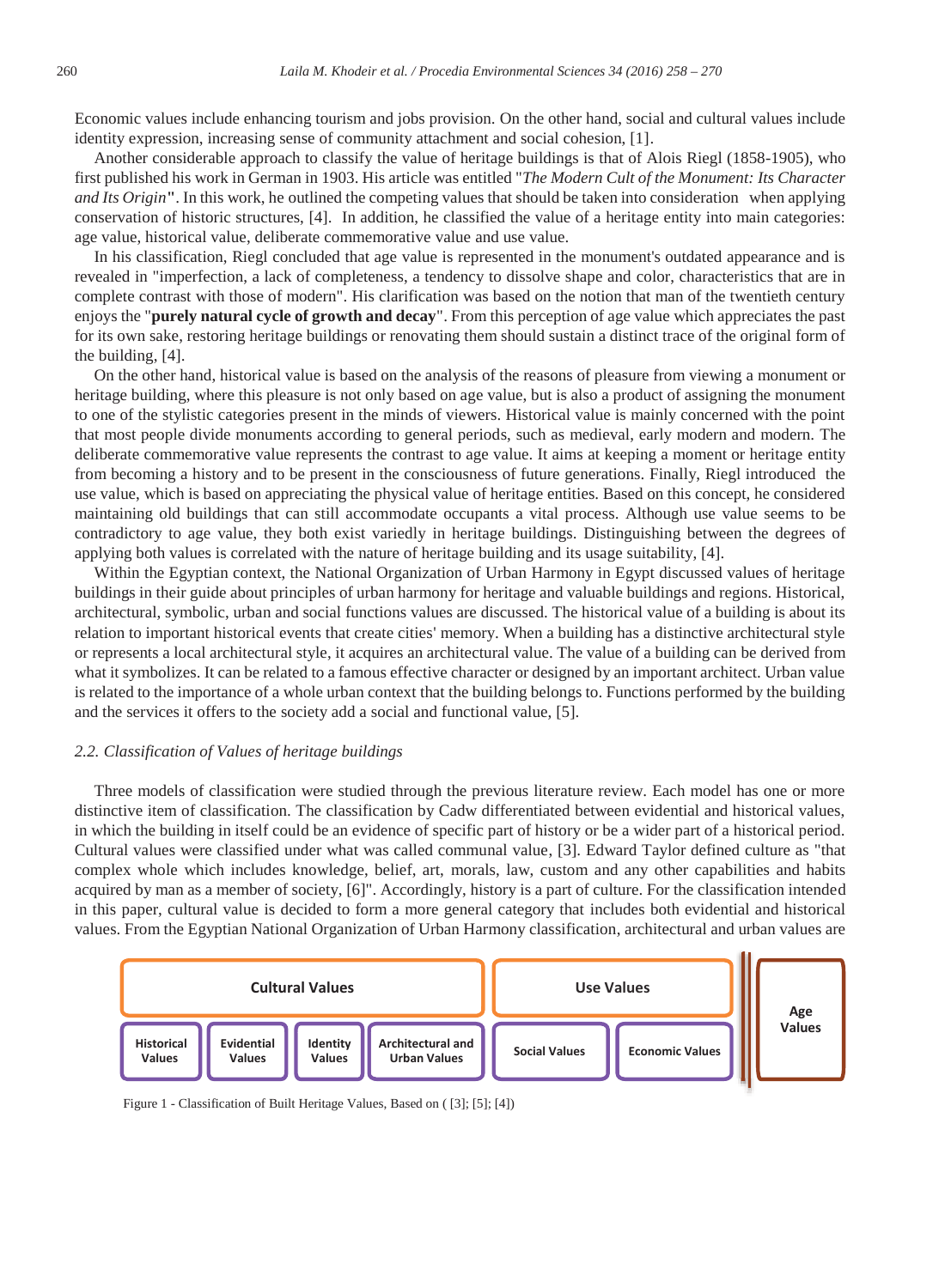Economic values include enhancing tourism and jobs provision. On the other hand, social and cultural values include identity expression, increasing sense of community attachment and social cohesion, [1].

Another considerable approach to classify the value of heritage buildings is that of Alois Riegl (1858-1905), who first published his work in German in 1903. His article was entitled "*The Modern Cult of the Monument: Its Character and Its Origin***"**. In this work, he outlined the competing values that should be taken into consideration when applying conservation of historic structures, [4]. In addition, he classified the value of a heritage entity into main categories: age value, historical value, deliberate commemorative value and use value.

In his classification, Riegl concluded that age value is represented in the monument's outdated appearance and is revealed in "imperfection, a lack of completeness, a tendency to dissolve shape and color, characteristics that are in complete contrast with those of modern". His clarification was based on the notion that man of the twentieth century enjoys the "**purely natural cycle of growth and decay**". From this perception of age value which appreciates the past for its own sake, restoring heritage buildings or renovating them should sustain a distinct trace of the original form of the building, [4].

On the other hand, historical value is based on the analysis of the reasons of pleasure from viewing a monument or heritage building, where this pleasure is not only based on age value, but is also a product of assigning the monument to one of the stylistic categories present in the minds of viewers. Historical value is mainly concerned with the point that most people divide monuments according to general periods, such as medieval, early modern and modern. The deliberate commemorative value represents the contrast to age value. It aims at keeping a moment or heritage entity from becoming a history and to be present in the consciousness of future generations. Finally, Riegl introduced the use value, which is based on appreciating the physical value of heritage entities. Based on this concept, he considered maintaining old buildings that can still accommodate occupants a vital process. Although use value seems to be contradictory to age value, they both exist variedly in heritage buildings. Distinguishing between the degrees of applying both values is correlated with the nature of heritage building and its usage suitability, [4].

Within the Egyptian context, the National Organization of Urban Harmony in Egypt discussed values of heritage buildings in their guide about principles of urban harmony for heritage and valuable buildings and regions. Historical, architectural, symbolic, urban and social functions values are discussed. The historical value of a building is about its relation to important historical events that create cities' memory. When a building has a distinctive architectural style or represents a local architectural style, it acquires an architectural value. The value of a building can be derived from what it symbolizes. It can be related to a famous effective character or designed by an important architect. Urban value is related to the importance of a whole urban context that the building belongs to. Functions performed by the building and the services it offers to the society add a social and functional value, [5].

#### *2.2. Classification of Values of heritage buildings*

Three models of classification were studied through the previous literature review. Each model has one or more distinctive item of classification. The classification by Cadw differentiated between evidential and historical values, in which the building in itself could be an evidence of specific part of history or be a wider part of a historical period. Cultural values were classified under what was called communal value, [3]. Edward Taylor defined culture as "that complex whole which includes knowledge, belief, art, morals, law, custom and any other capabilities and habits acquired by man as a member of society, [6]". Accordingly, history is a part of culture. For the classification intended in this paper, cultural value is decided to form a more general category that includes both evidential and historical values. From the Egyptian National Organization of Urban Harmony classification, architectural and urban values are



Figure 1 - Classification of Built Heritage Values, Based on ( [3]; [5]; [4])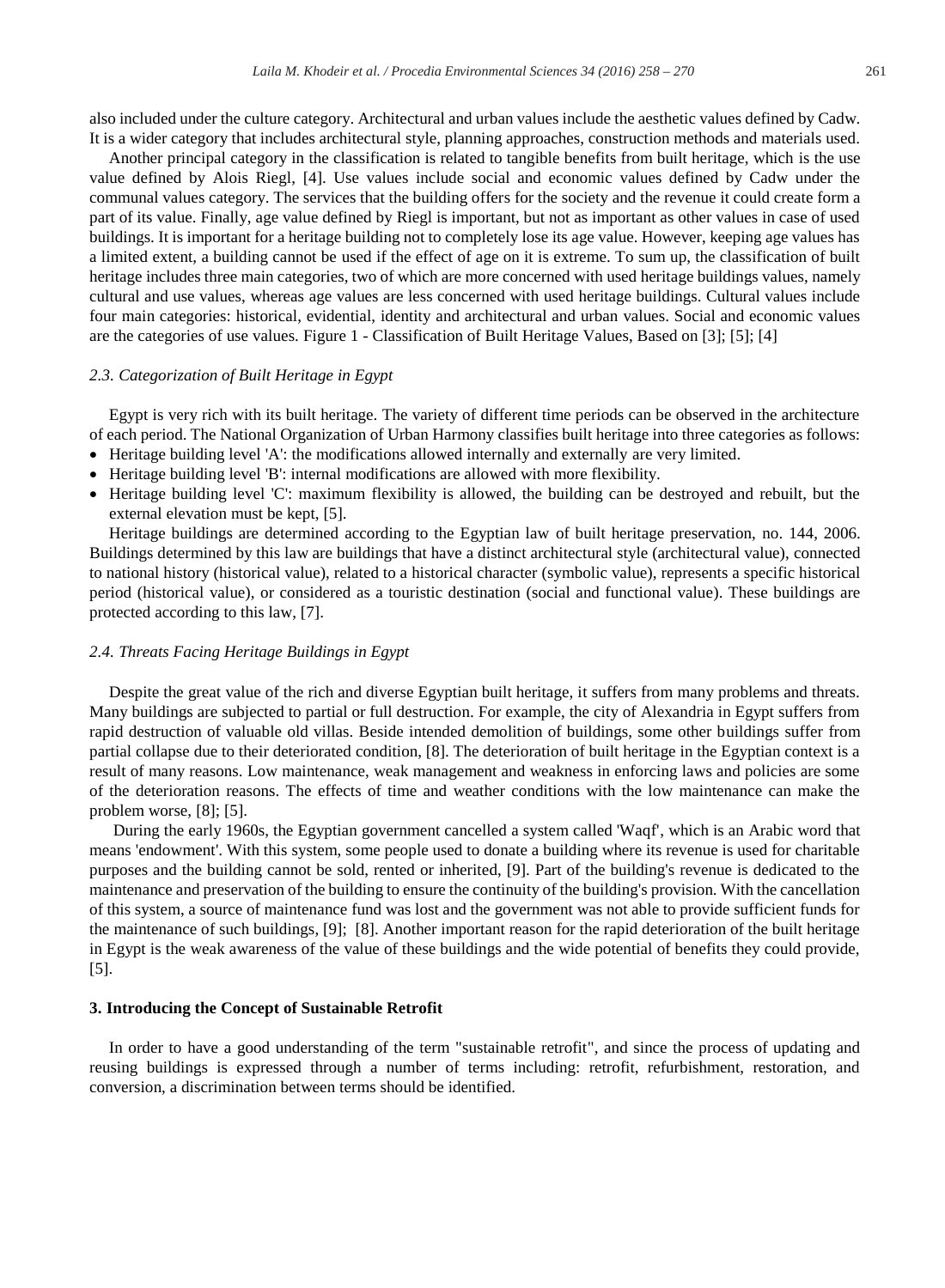also included under the culture category. Architectural and urban values include the aesthetic values defined by Cadw. It is a wider category that includes architectural style, planning approaches, construction methods and materials used.

Another principal category in the classification is related to tangible benefits from built heritage, which is the use value defined by Alois Riegl, [4]. Use values include social and economic values defined by Cadw under the communal values category. The services that the building offers for the society and the revenue it could create form a part of its value. Finally, age value defined by Riegl is important, but not as important as other values in case of used buildings. It is important for a heritage building not to completely lose its age value. However, keeping age values has a limited extent, a building cannot be used if the effect of age on it is extreme. To sum up, the classification of built heritage includes three main categories, two of which are more concerned with used heritage buildings values, namely cultural and use values, whereas age values are less concerned with used heritage buildings. Cultural values include four main categories: historical, evidential, identity and architectural and urban values. Social and economic values are the categories of use values. Figure 1 - Classification of Built Heritage Values, Based on [3]; [5]; [4]

#### *2.3. Categorization of Built Heritage in Egypt*

Egypt is very rich with its built heritage. The variety of different time periods can be observed in the architecture of each period. The National Organization of Urban Harmony classifies built heritage into three categories as follows:

- Heritage building level 'A': the modifications allowed internally and externally are very limited.
- Heritage building level 'B': internal modifications are allowed with more flexibility.
- x Heritage building level 'C': maximum flexibility is allowed, the building can be destroyed and rebuilt, but the external elevation must be kept, [5].

Heritage buildings are determined according to the Egyptian law of built heritage preservation, no. 144, 2006. Buildings determined by this law are buildings that have a distinct architectural style (architectural value), connected to national history (historical value), related to a historical character (symbolic value), represents a specific historical period (historical value), or considered as a touristic destination (social and functional value). These buildings are protected according to this law, [7].

# *2.4. Threats Facing Heritage Buildings in Egypt*

Despite the great value of the rich and diverse Egyptian built heritage, it suffers from many problems and threats. Many buildings are subjected to partial or full destruction. For example, the city of Alexandria in Egypt suffers from rapid destruction of valuable old villas. Beside intended demolition of buildings, some other buildings suffer from partial collapse due to their deteriorated condition, [8]. The deterioration of built heritage in the Egyptian context is a result of many reasons. Low maintenance, weak management and weakness in enforcing laws and policies are some of the deterioration reasons. The effects of time and weather conditions with the low maintenance can make the problem worse, [8]; [5].

During the early 1960s, the Egyptian government cancelled a system called 'Waqf', which is an Arabic word that means 'endowment'. With this system, some people used to donate a building where its revenue is used for charitable purposes and the building cannot be sold, rented or inherited, [9]. Part of the building's revenue is dedicated to the maintenance and preservation of the building to ensure the continuity of the building's provision. With the cancellation of this system, a source of maintenance fund was lost and the government was not able to provide sufficient funds for the maintenance of such buildings, [9]; [8]. Another important reason for the rapid deterioration of the built heritage in Egypt is the weak awareness of the value of these buildings and the wide potential of benefits they could provide, [5].

## **3. Introducing the Concept of Sustainable Retrofit**

In order to have a good understanding of the term "sustainable retrofit", and since the process of updating and reusing buildings is expressed through a number of terms including: retrofit, refurbishment, restoration, and conversion, a discrimination between terms should be identified.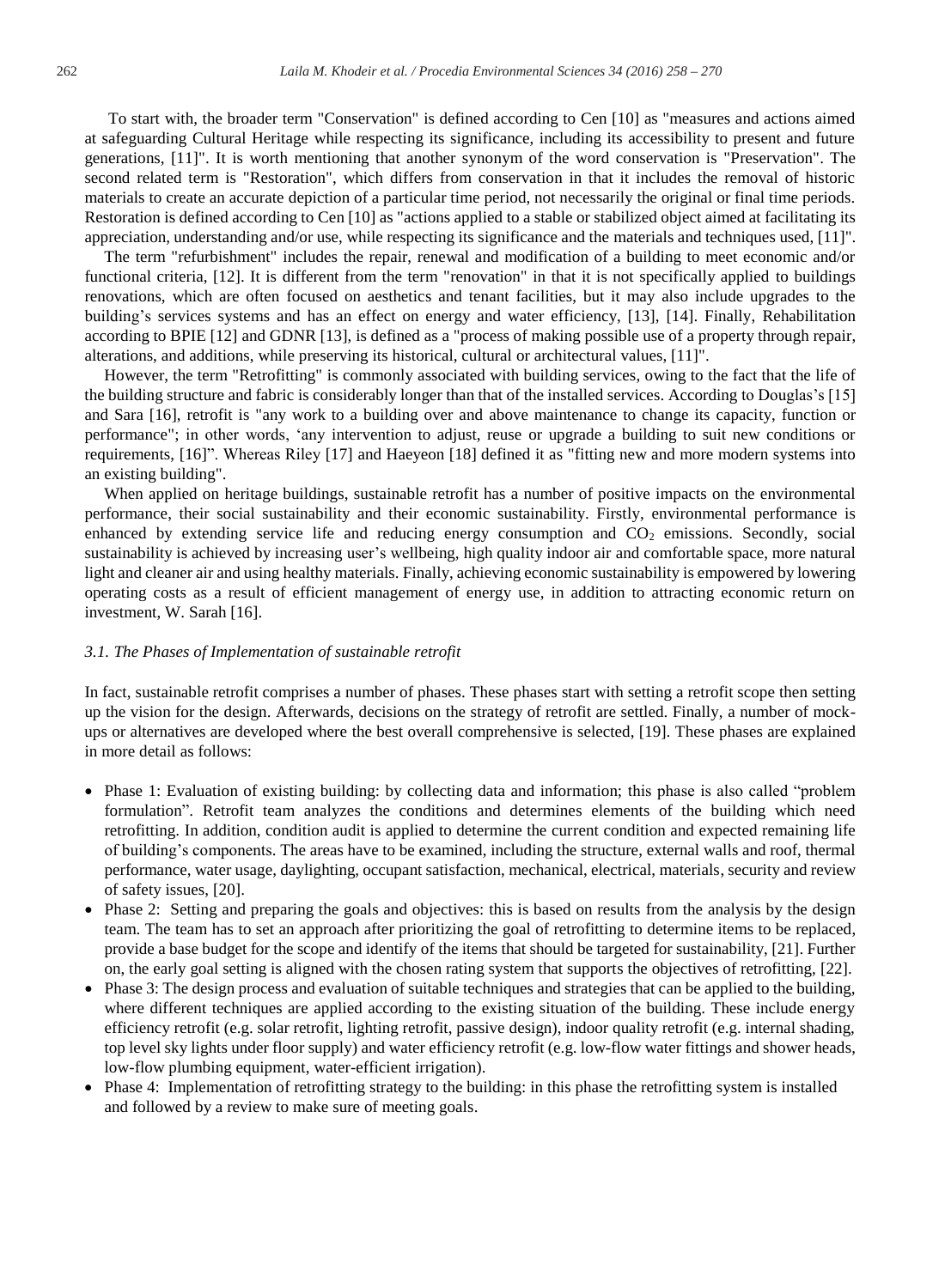To start with, the broader term "Conservation" is defined according to Cen [10] as "measures and actions aimed at safeguarding Cultural Heritage while respecting its significance, including its accessibility to present and future generations, [11]". It is worth mentioning that another synonym of the word conservation is "Preservation". The second related term is "Restoration", which differs from conservation in that it includes the removal of historic materials to create an accurate depiction of a particular time period, not necessarily the original or final time periods. Restoration is defined according to Cen [10] as "actions applied to a stable or stabilized object aimed at facilitating its appreciation, understanding and/or use, while respecting its significance and the materials and techniques used, [11]".

The term "refurbishment" includes the repair, renewal and modification of a building to meet economic and/or functional criteria, [12]. It is different from the term "renovation" in that it is not specifically applied to buildings renovations, which are often focused on aesthetics and tenant facilities, but it may also include upgrades to the building's services systems and has an effect on energy and water efficiency, [13], [14]. Finally, Rehabilitation according to BPIE [12] and GDNR [13], is defined as a "process of making possible use of a property through repair, alterations, and additions, while preserving its historical, cultural or architectural values, [11]".

However, the term "Retrofitting" is commonly associated with building services, owing to the fact that the life of the building structure and fabric is considerably longer than that of the installed services. According to Douglas's [15] and Sara [16], retrofit is "any work to a building over and above maintenance to change its capacity, function or performance"; in other words, 'any intervention to adjust, reuse or upgrade a building to suit new conditions or requirements, [16]". Whereas Riley [17] and Haeyeon [18] defined it as "fitting new and more modern systems into an existing building".

When applied on heritage buildings, sustainable retrofit has a number of positive impacts on the environmental performance, their social sustainability and their economic sustainability. Firstly, environmental performance is enhanced by extending service life and reducing energy consumption and  $CO<sub>2</sub>$  emissions. Secondly, social sustainability is achieved by increasing user's wellbeing, high quality indoor air and comfortable space, more natural light and cleaner air and using healthy materials. Finally, achieving economic sustainability is empowered by lowering operating costs as a result of efficient management of energy use, in addition to attracting economic return on investment, W. Sarah [16].

#### *3.1. The Phases of Implementation of sustainable retrofit*

In fact, sustainable retrofit comprises a number of phases. These phases start with setting a retrofit scope then setting up the vision for the design. Afterwards, decisions on the strategy of retrofit are settled. Finally, a number of mockups or alternatives are developed where the best overall comprehensive is selected, [19]. These phases are explained in more detail as follows:

- Phase 1: Evaluation of existing building: by collecting data and information; this phase is also called "problem formulation". Retrofit team analyzes the conditions and determines elements of the building which need retrofitting. In addition, condition audit is applied to determine the current condition and expected remaining life of building's components. The areas have to be examined, including the structure, external walls and roof, thermal performance, water usage, daylighting, occupant satisfaction, mechanical, electrical, materials, security and review of safety issues, [20].
- Phase 2: Setting and preparing the goals and objectives: this is based on results from the analysis by the design team. The team has to set an approach after prioritizing the goal of retrofitting to determine items to be replaced, provide a base budget for the scope and identify of the items that should be targeted for sustainability, [21]. Further on, the early goal setting is aligned with the chosen rating system that supports the objectives of retrofitting, [22].
- Phase 3: The design process and evaluation of suitable techniques and strategies that can be applied to the building, where different techniques are applied according to the existing situation of the building. These include energy efficiency retrofit (e.g. solar retrofit, lighting retrofit, passive design), indoor quality retrofit (e.g. internal shading, top level sky lights under floor supply) and water efficiency retrofit (e.g. low-flow water fittings and shower heads, low-flow plumbing equipment, water-efficient irrigation).
- Phase 4: Implementation of retrofitting strategy to the building: in this phase the retrofitting system is installed and followed by a review to make sure of meeting goals.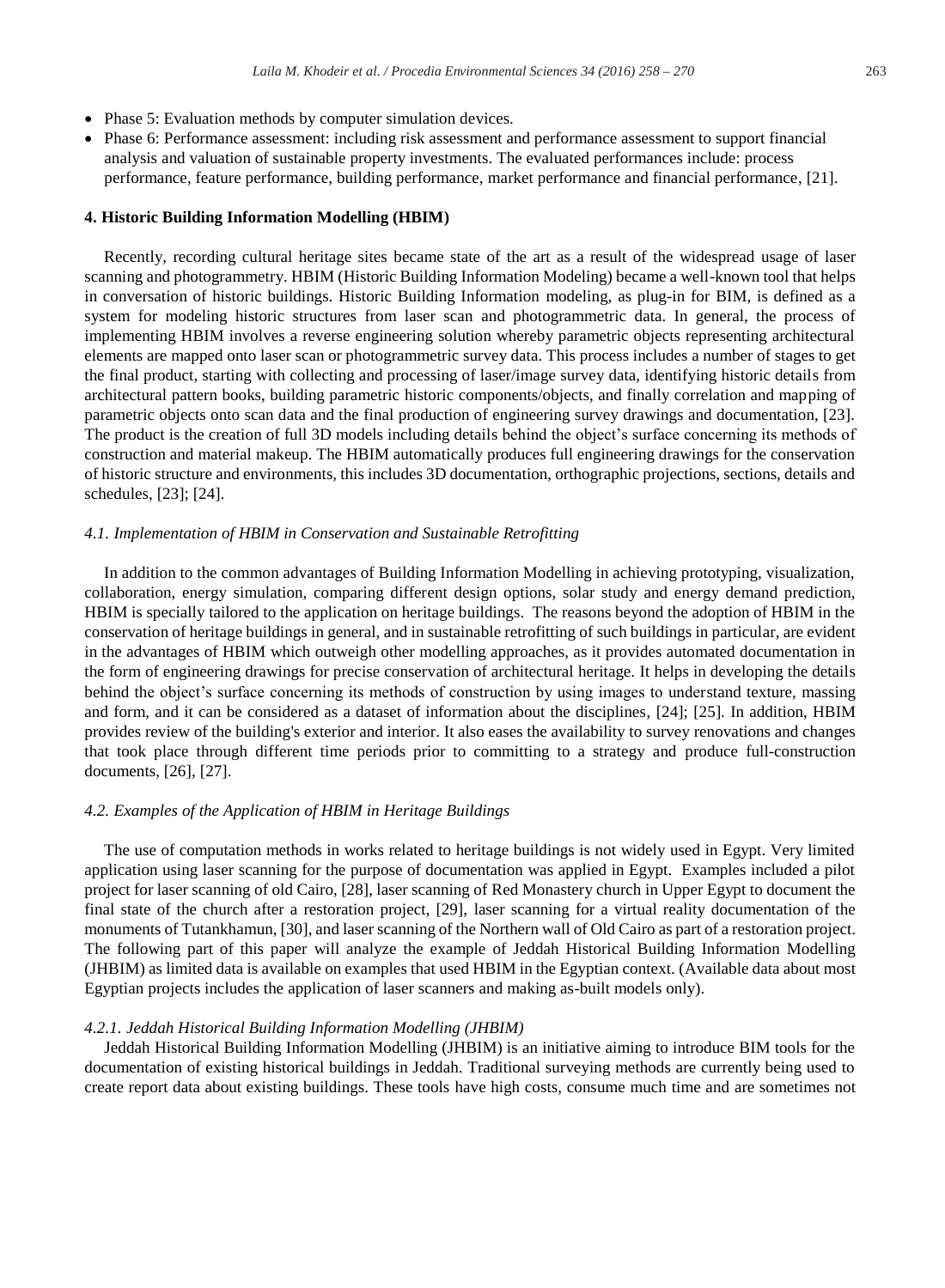- Phase 5: Evaluation methods by computer simulation devices.
- Phase 6: Performance assessment: including risk assessment and performance assessment to support financial analysis and valuation of sustainable property investments. The evaluated performances include: process performance, feature performance, building performance, market performance and financial performance, [21].

#### **4. Historic Building Information Modelling (HBIM)**

Recently, recording cultural heritage sites became state of the art as a result of the widespread usage of laser scanning and photogrammetry. HBIM (Historic Building Information Modeling) became a well-known tool that helps in conversation of historic buildings. Historic Building Information modeling, as plug-in for BIM, is defined as a system for modeling historic structures from laser scan and photogrammetric data. In general, the process of implementing HBIM involves a reverse engineering solution whereby parametric objects representing architectural elements are mapped onto laser scan or photogrammetric survey data. This process includes a number of stages to get the final product, starting with collecting and processing of laser/image survey data, identifying historic details from architectural pattern books, building parametric historic components/objects, and finally correlation and mapping of parametric objects onto scan data and the final production of engineering survey drawings and documentation, [23]. The product is the creation of full 3D models including details behind the object's surface concerning its methods of construction and material makeup. The HBIM automatically produces full engineering drawings for the conservation of historic structure and environments, this includes 3D documentation, orthographic projections, sections, details and schedules, [23]; [24].

# *4.1. Implementation of HBIM in Conservation and Sustainable Retrofitting*

In addition to the common advantages of Building Information Modelling in achieving prototyping, visualization, collaboration, energy simulation, comparing different design options, solar study and energy demand prediction, HBIM is specially tailored to the application on heritage buildings. The reasons beyond the adoption of HBIM in the conservation of heritage buildings in general, and in sustainable retrofitting of such buildings in particular, are evident in the advantages of HBIM which outweigh other modelling approaches, as it provides automated documentation in the form of engineering drawings for precise conservation of architectural heritage. It helps in developing the details behind the object's surface concerning its methods of construction by using images to understand texture, massing and form, and it can be considered as a dataset of information about the disciplines, [24]; [25]. In addition, HBIM provides review of the building's exterior and interior. It also eases the availability to survey renovations and changes that took place through different time periods prior to committing to a strategy and produce full-construction documents, [26], [27].

#### *4.2. Examples of the Application of HBIM in Heritage Buildings*

The use of computation methods in works related to heritage buildings is not widely used in Egypt. Very limited application using laser scanning for the purpose of documentation was applied in Egypt. Examples included a pilot project for laser scanning of old Cairo, [28], laser scanning of Red Monastery church in Upper Egypt to document the final state of the church after a restoration project, [29], laser scanning for a virtual reality documentation of the monuments of Tutankhamun, [30], and laser scanning of the Northern wall of Old Cairo as part of a restoration project. The following part of this paper will analyze the example of Jeddah Historical Building Information Modelling (JHBIM) as limited data is available on examples that used HBIM in the Egyptian context. (Available data about most Egyptian projects includes the application of laser scanners and making as-built models only).

#### *4.2.1. Jeddah Historical Building Information Modelling (JHBIM)*

Jeddah Historical Building Information Modelling (JHBIM) is an initiative aiming to introduce BIM tools for the documentation of existing historical buildings in Jeddah. Traditional surveying methods are currently being used to create report data about existing buildings. These tools have high costs, consume much time and are sometimes not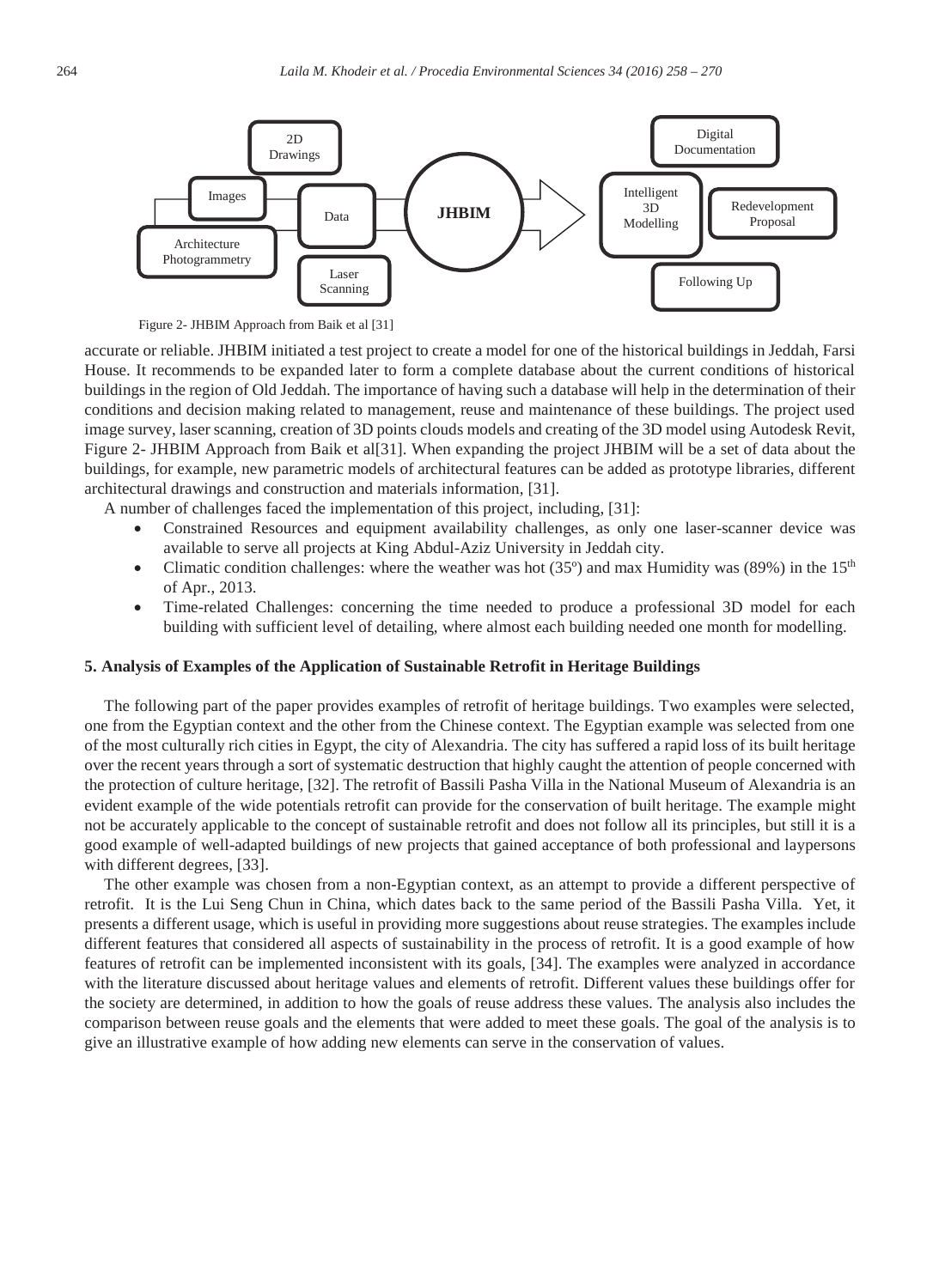

Figure 2- JHBIM Approach from Baik et al [31]

accurate or reliable. JHBIM initiated a test project to create a model for one of the historical buildings in Jeddah, Farsi House. It recommends to be expanded later to form a complete database about the current conditions of historical buildings in the region of Old Jeddah. The importance of having such a database will help in the determination of their conditions and decision making related to management, reuse and maintenance of these buildings. The project used image survey, laser scanning, creation of 3D points clouds models and creating of the 3D model using Autodesk Revit, Figure 2- JHBIM Approach from Baik et al[31]. When expanding the project JHBIM will be a set of data about the buildings, for example, new parametric models of architectural features can be added as prototype libraries, different architectural drawings and construction and materials information, [31].

A number of challenges faced the implementation of this project, including, [31]:

- Constrained Resources and equipment availability challenges, as only one laser-scanner device was available to serve all projects at King Abdul-Aziz University in Jeddah city.
- Climatic condition challenges: where the weather was hot (35<sup>°</sup>) and max Humidity was (89%) in the  $15<sup>th</sup>$ of Apr., 2013.
- Time-related Challenges: concerning the time needed to produce a professional 3D model for each building with sufficient level of detailing, where almost each building needed one month for modelling.

# **5. Analysis of Examples of the Application of Sustainable Retrofit in Heritage Buildings**

The following part of the paper provides examples of retrofit of heritage buildings. Two examples were selected, one from the Egyptian context and the other from the Chinese context. The Egyptian example was selected from one of the most culturally rich cities in Egypt, the city of Alexandria. The city has suffered a rapid loss of its built heritage over the recent years through a sort of systematic destruction that highly caught the attention of people concerned with the protection of culture heritage, [32]. The retrofit of Bassili Pasha Villa in the National Museum of Alexandria is an evident example of the wide potentials retrofit can provide for the conservation of built heritage. The example might not be accurately applicable to the concept of sustainable retrofit and does not follow all its principles, but still it is a good example of well-adapted buildings of new projects that gained acceptance of both professional and laypersons with different degrees, [33].

The other example was chosen from a non-Egyptian context, as an attempt to provide a different perspective of retrofit. It is the Lui Seng Chun in China, which dates back to the same period of the Bassili Pasha Villa. Yet, it presents a different usage, which is useful in providing more suggestions about reuse strategies. The examples include different features that considered all aspects of sustainability in the process of retrofit. It is a good example of how features of retrofit can be implemented inconsistent with its goals, [34]. The examples were analyzed in accordance with the literature discussed about heritage values and elements of retrofit. Different values these buildings offer for the society are determined, in addition to how the goals of reuse address these values. The analysis also includes the comparison between reuse goals and the elements that were added to meet these goals. The goal of the analysis is to give an illustrative example of how adding new elements can serve in the conservation of values.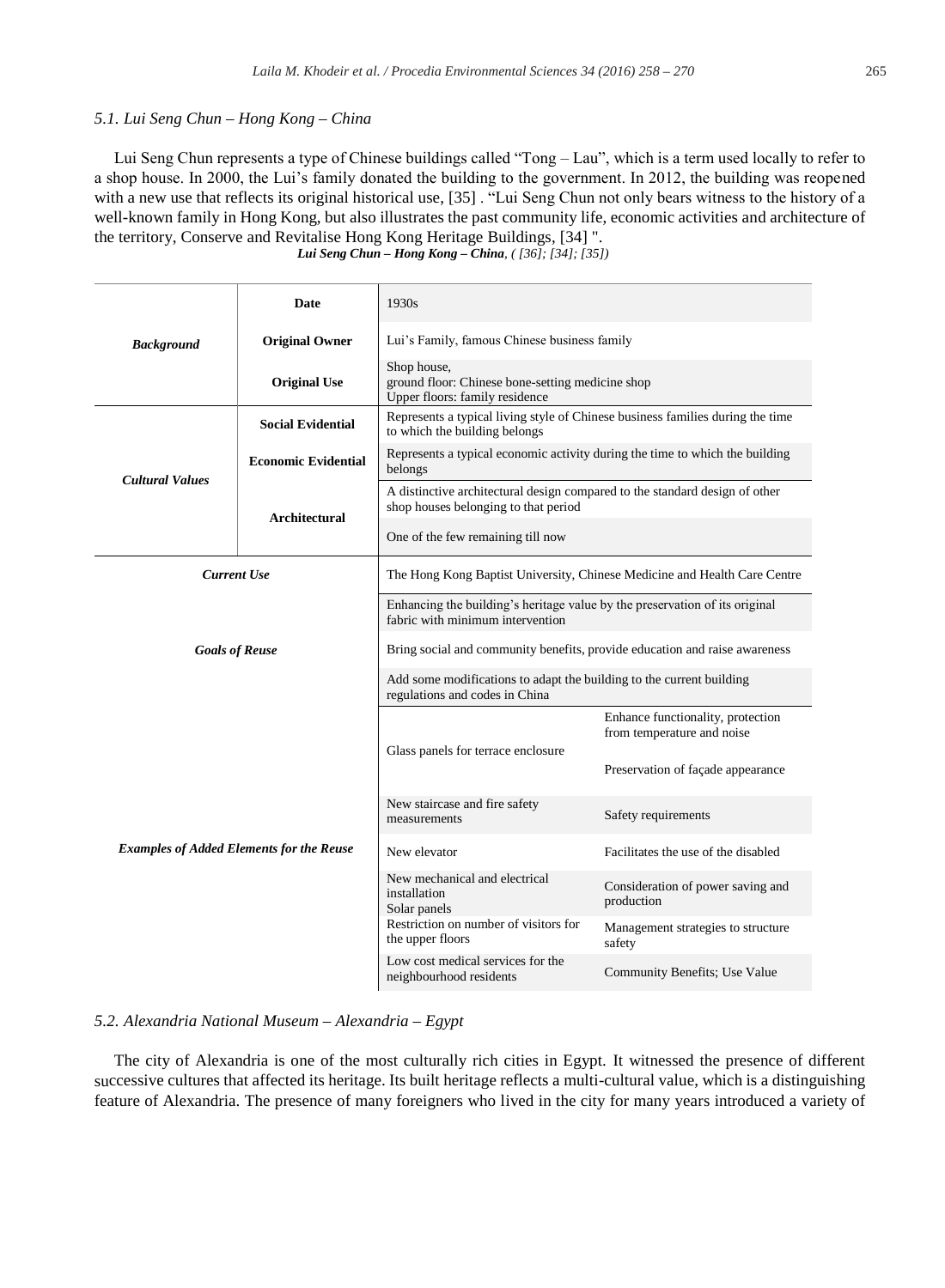# *5.1. Lui Seng Chun – Hong Kong – China*

Lui Seng Chun represents a type of Chinese buildings called "Tong – Lau", which is a term used locally to refer to a shop house. In 2000, the Lui's family donated the building to the government. In 2012, the building was reopened with a new use that reflects its original historical use, [35]. "Lui Seng Chun not only bears witness to the history of a well-known family in Hong Kong, but also illustrates the past community life, economic activities and architecture of the territory, Conserve and Revitalise Hong Kong Heritage Buildings, [34] ". *Lui Seng Chun – Hong Kong – China, ( [36]; [34]; [35])*

|                                                                          | Date                       | 1930s                                                                                                               |                                                                 |  |
|--------------------------------------------------------------------------|----------------------------|---------------------------------------------------------------------------------------------------------------------|-----------------------------------------------------------------|--|
| <b>Background</b>                                                        | <b>Original Owner</b>      | Lui's Family, famous Chinese business family                                                                        |                                                                 |  |
|                                                                          | <b>Original Use</b>        | Shop house,<br>ground floor: Chinese bone-setting medicine shop<br>Upper floors: family residence                   |                                                                 |  |
|                                                                          | <b>Social Evidential</b>   | Represents a typical living style of Chinese business families during the time<br>to which the building belongs     |                                                                 |  |
| <b>Cultural Values</b>                                                   | <b>Economic Evidential</b> | Represents a typical economic activity during the time to which the building<br>belongs                             |                                                                 |  |
|                                                                          | <b>Architectural</b>       | A distinctive architectural design compared to the standard design of other<br>shop houses belonging to that period |                                                                 |  |
|                                                                          |                            | One of the few remaining till now                                                                                   |                                                                 |  |
| <b>Current Use</b>                                                       |                            | The Hong Kong Baptist University, Chinese Medicine and Health Care Centre                                           |                                                                 |  |
| <b>Goals of Reuse</b><br><b>Examples of Added Elements for the Reuse</b> |                            | Enhancing the building's heritage value by the preservation of its original<br>fabric with minimum intervention     |                                                                 |  |
|                                                                          |                            | Bring social and community benefits, provide education and raise awareness                                          |                                                                 |  |
|                                                                          |                            | Add some modifications to adapt the building to the current building<br>regulations and codes in China              |                                                                 |  |
|                                                                          |                            | Glass panels for terrace enclosure                                                                                  | Enhance functionality, protection<br>from temperature and noise |  |
|                                                                          |                            |                                                                                                                     | Preservation of façade appearance                               |  |
|                                                                          |                            | New staircase and fire safety<br>measurements                                                                       | Safety requirements                                             |  |
|                                                                          |                            | New elevator                                                                                                        | Facilitates the use of the disabled                             |  |
|                                                                          |                            | New mechanical and electrical<br>installation<br>Solar panels                                                       | Consideration of power saving and<br>production                 |  |
|                                                                          |                            | Restriction on number of visitors for<br>the upper floors                                                           | Management strategies to structure<br>safety                    |  |
|                                                                          |                            | Low cost medical services for the<br>neighbourhood residents                                                        | Community Benefits; Use Value                                   |  |

## *5.2. Alexandria National Museum – Alexandria – Egypt*

The city of Alexandria is one of the most culturally rich cities in Egypt. It witnessed the presence of different successive cultures that affected its heritage. Its built heritage reflects a multi-cultural value, which is a distinguishing feature of Alexandria. The presence of many foreigners who lived in the city for many years introduced a variety of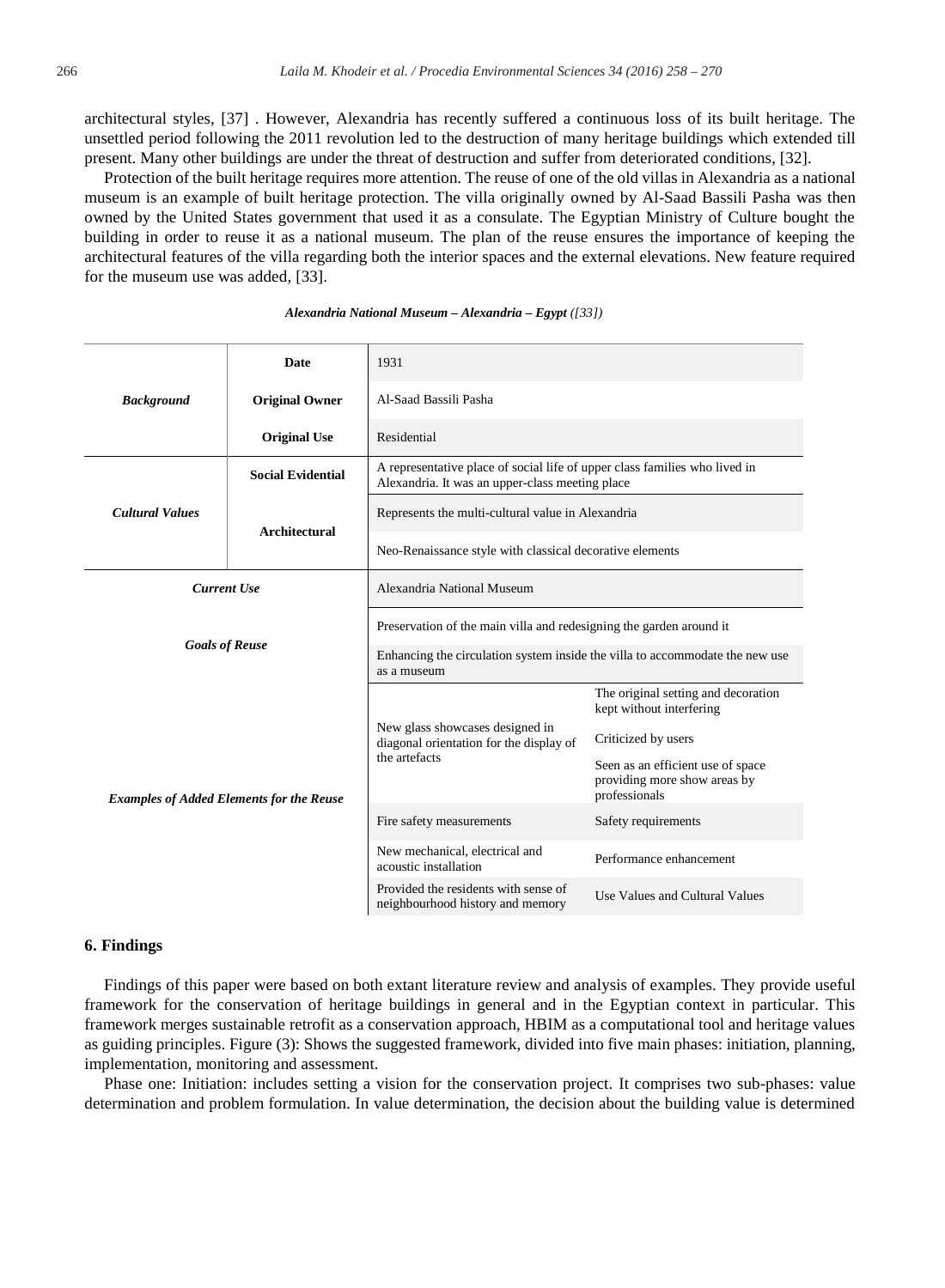architectural styles, [37] . However, Alexandria has recently suffered a continuous loss of its built heritage. The unsettled period following the 2011 revolution led to the destruction of many heritage buildings which extended till present. Many other buildings are under the threat of destruction and suffer from deteriorated conditions, [32].

Protection of the built heritage requires more attention. The reuse of one of the old villas in Alexandria as a national museum is an example of built heritage protection. The villa originally owned by Al-Saad Bassili Pasha was then owned by the United States government that used it as a consulate. The Egyptian Ministry of Culture bought the building in order to reuse it as a national museum. The plan of the reuse ensures the importance of keeping the architectural features of the villa regarding both the interior spaces and the external elevations. New feature required for the museum use was added, [33].

|                                                 | Date                     | 1931                                                                                                                          |                                                                                    |  |
|-------------------------------------------------|--------------------------|-------------------------------------------------------------------------------------------------------------------------------|------------------------------------------------------------------------------------|--|
| <b>Background</b>                               | <b>Original Owner</b>    | Al-Saad Bassili Pasha                                                                                                         |                                                                                    |  |
|                                                 | <b>Original Use</b>      | Residential                                                                                                                   |                                                                                    |  |
| <b>Cultural Values</b>                          | <b>Social Evidential</b> | A representative place of social life of upper class families who lived in<br>Alexandria. It was an upper-class meeting place |                                                                                    |  |
|                                                 | <b>Architectural</b>     | Represents the multi-cultural value in Alexandria                                                                             |                                                                                    |  |
|                                                 |                          | Neo-Renaissance style with classical decorative elements                                                                      |                                                                                    |  |
| <b>Current Use</b>                              |                          | Alexandria National Museum                                                                                                    |                                                                                    |  |
| <b>Goals of Reuse</b>                           |                          | Preservation of the main villa and redesigning the garden around it                                                           |                                                                                    |  |
|                                                 |                          | Enhancing the circulation system inside the villa to accommodate the new use<br>as a museum                                   |                                                                                    |  |
| <b>Examples of Added Elements for the Reuse</b> |                          | New glass showcases designed in<br>diagonal orientation for the display of<br>the artefacts                                   | The original setting and decoration<br>kept without interfering                    |  |
|                                                 |                          |                                                                                                                               | Criticized by users                                                                |  |
|                                                 |                          |                                                                                                                               | Seen as an efficient use of space<br>providing more show areas by<br>professionals |  |
|                                                 |                          | Fire safety measurements                                                                                                      | Safety requirements                                                                |  |
|                                                 |                          | New mechanical, electrical and<br>acoustic installation                                                                       | Performance enhancement                                                            |  |
|                                                 |                          | Provided the residents with sense of<br>neighbourhood history and memory                                                      | Use Values and Cultural Values                                                     |  |

*Alexandria National Museum – Alexandria – Egypt ([33])*

## **6. Findings**

Findings of this paper were based on both extant literature review and analysis of examples. They provide useful framework for the conservation of heritage buildings in general and in the Egyptian context in particular. This framework merges sustainable retrofit as a conservation approach, HBIM as a computational tool and heritage values as guiding principles. Figure (3): Shows the suggested framework, divided into five main phases: initiation, planning, implementation, monitoring and assessment.

Phase one: Initiation: includes setting a vision for the conservation project. It comprises two sub-phases: value determination and problem formulation. In value determination, the decision about the building value is determined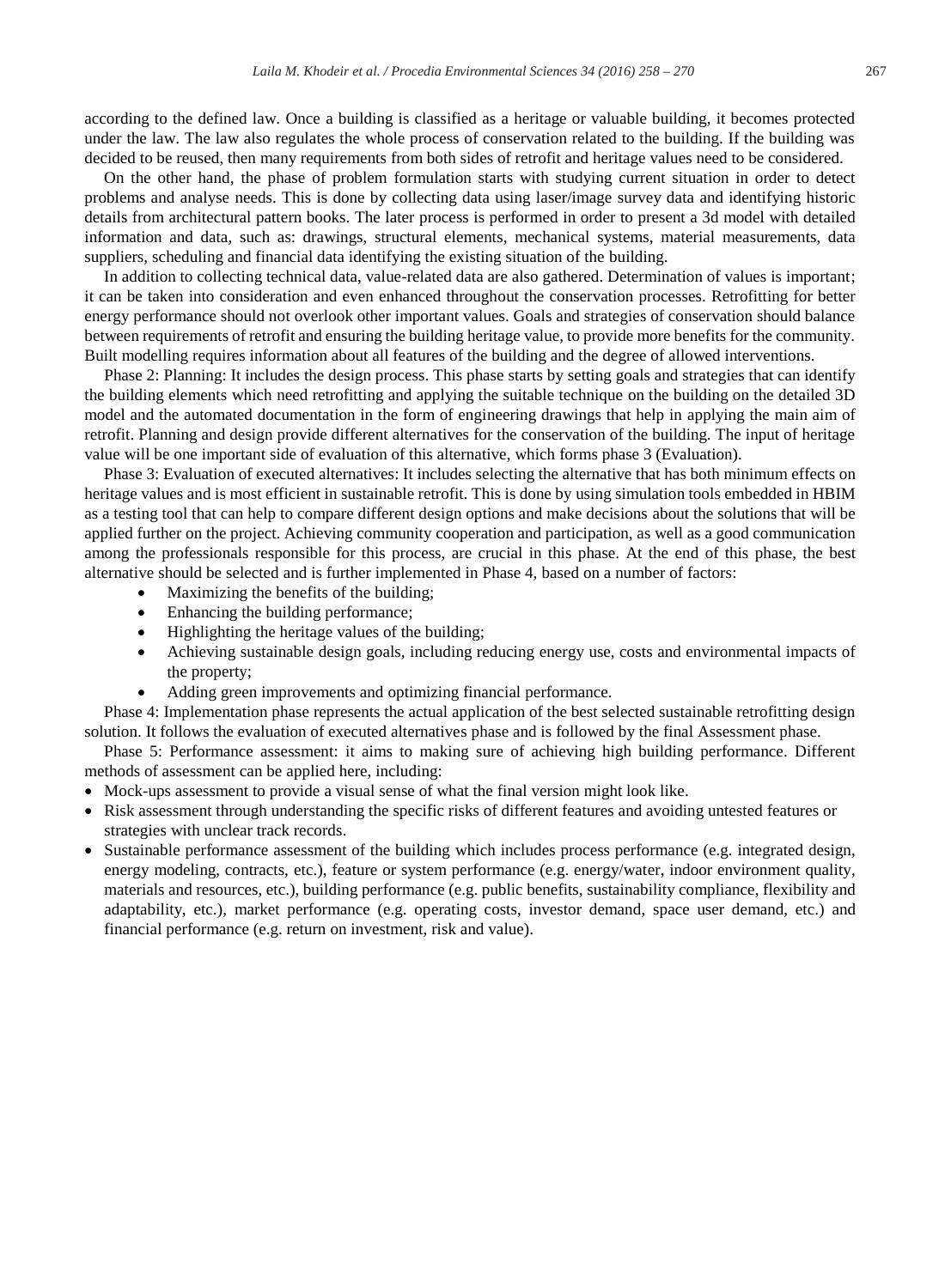according to the defined law. Once a building is classified as a heritage or valuable building, it becomes protected under the law. The law also regulates the whole process of conservation related to the building. If the building was decided to be reused, then many requirements from both sides of retrofit and heritage values need to be considered.

On the other hand, the phase of problem formulation starts with studying current situation in order to detect problems and analyse needs. This is done by collecting data using laser/image survey data and identifying historic details from architectural pattern books. The later process is performed in order to present a 3d model with detailed information and data, such as: drawings, structural elements, mechanical systems, material measurements, data suppliers, scheduling and financial data identifying the existing situation of the building.

In addition to collecting technical data, value-related data are also gathered. Determination of values is important; it can be taken into consideration and even enhanced throughout the conservation processes. Retrofitting for better energy performance should not overlook other important values. Goals and strategies of conservation should balance between requirements of retrofit and ensuring the building heritage value, to provide more benefits for the community. Built modelling requires information about all features of the building and the degree of allowed interventions.

Phase 2: Planning: It includes the design process. This phase starts by setting goals and strategies that can identify the building elements which need retrofitting and applying the suitable technique on the building on the detailed 3D model and the automated documentation in the form of engineering drawings that help in applying the main aim of retrofit. Planning and design provide different alternatives for the conservation of the building. The input of heritage value will be one important side of evaluation of this alternative, which forms phase 3 (Evaluation).

Phase 3: Evaluation of executed alternatives: It includes selecting the alternative that has both minimum effects on heritage values and is most efficient in sustainable retrofit. This is done by using simulation tools embedded in HBIM as a testing tool that can help to compare different design options and make decisions about the solutions that will be applied further on the project. Achieving community cooperation and participation, as well as a good communication among the professionals responsible for this process, are crucial in this phase. At the end of this phase, the best alternative should be selected and is further implemented in Phase 4, based on a number of factors:

- Maximizing the benefits of the building;
- Enhancing the building performance;
- Highlighting the heritage values of the building;
- Achieving sustainable design goals, including reducing energy use, costs and environmental impacts of the property;
- Adding green improvements and optimizing financial performance.

Phase 4: Implementation phase represents the actual application of the best selected sustainable retrofitting design solution. It follows the evaluation of executed alternatives phase and is followed by the final Assessment phase.

Phase 5: Performance assessment: it aims to making sure of achieving high building performance. Different methods of assessment can be applied here, including:

- Mock-ups assessment to provide a visual sense of what the final version might look like.
- x Risk assessment through understanding the specific risks of different features and avoiding untested features or strategies with unclear track records.
- Sustainable performance assessment of the building which includes process performance (e.g. integrated design, energy modeling, contracts, etc.), feature or system performance (e.g. energy/water, indoor environment quality, materials and resources, etc.), building performance (e.g. public benefits, sustainability compliance, flexibility and adaptability, etc.), market performance (e.g. operating costs, investor demand, space user demand, etc.) and financial performance (e.g. return on investment, risk and value).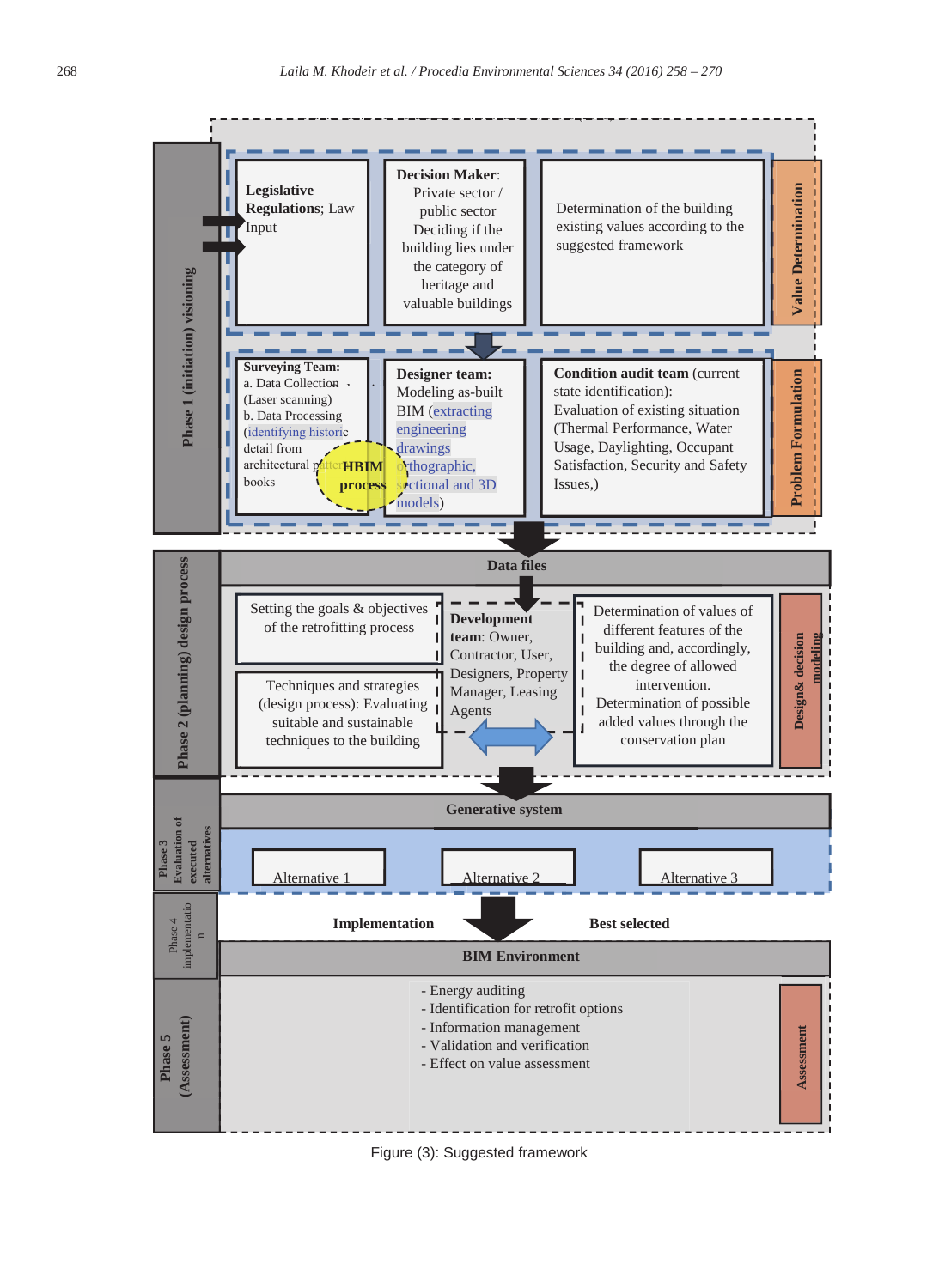

Figure (3): Suggested framework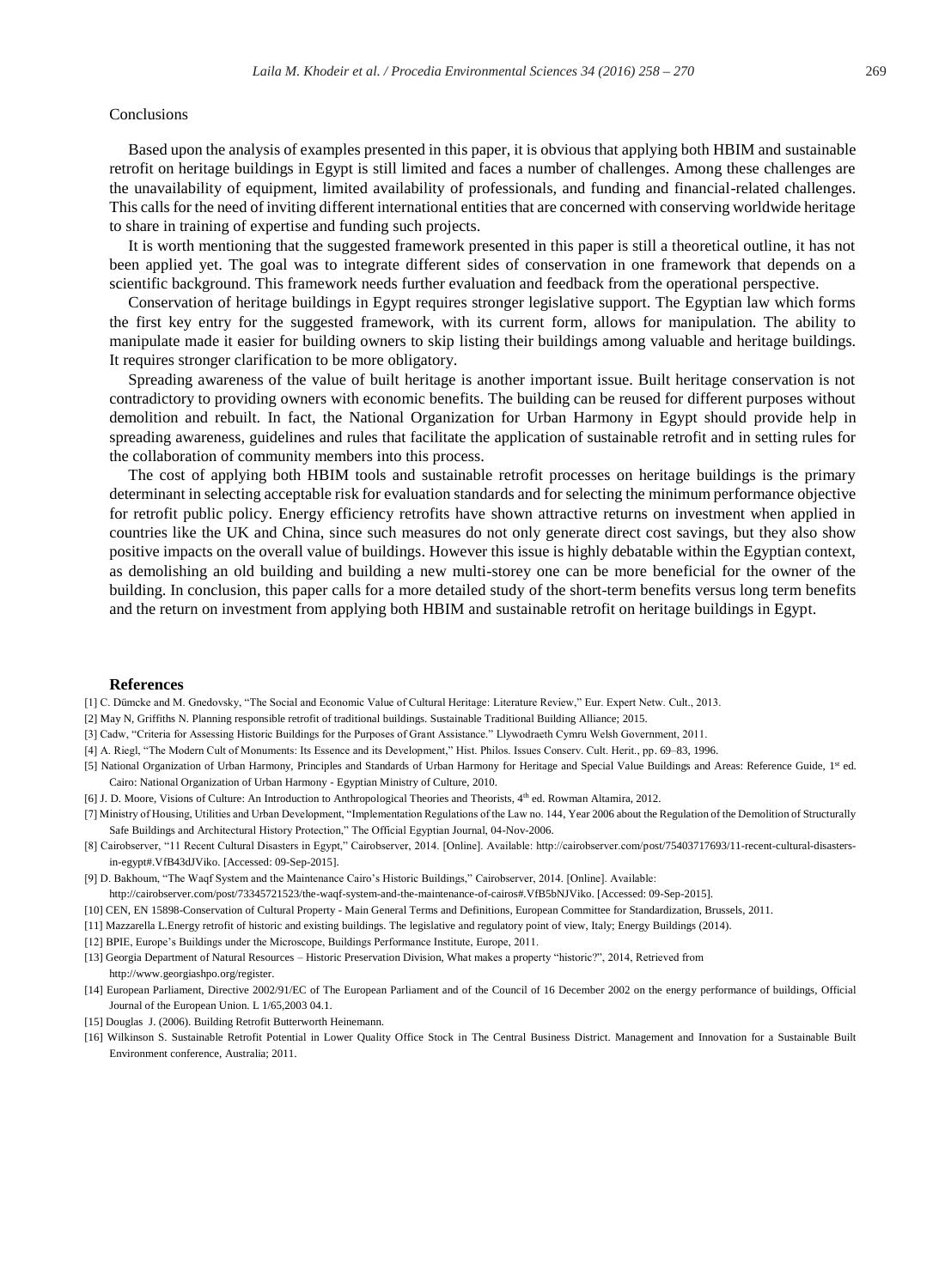#### Conclusions

Based upon the analysis of examples presented in this paper, it is obvious that applying both HBIM and sustainable retrofit on heritage buildings in Egypt is still limited and faces a number of challenges. Among these challenges are the unavailability of equipment, limited availability of professionals, and funding and financial-related challenges. This calls for the need of inviting different international entities that are concerned with conserving worldwide heritage to share in training of expertise and funding such projects.

It is worth mentioning that the suggested framework presented in this paper is still a theoretical outline, it has not been applied yet. The goal was to integrate different sides of conservation in one framework that depends on a scientific background. This framework needs further evaluation and feedback from the operational perspective.

Conservation of heritage buildings in Egypt requires stronger legislative support. The Egyptian law which forms the first key entry for the suggested framework, with its current form, allows for manipulation. The ability to manipulate made it easier for building owners to skip listing their buildings among valuable and heritage buildings. It requires stronger clarification to be more obligatory.

Spreading awareness of the value of built heritage is another important issue. Built heritage conservation is not contradictory to providing owners with economic benefits. The building can be reused for different purposes without demolition and rebuilt. In fact, the National Organization for Urban Harmony in Egypt should provide help in spreading awareness, guidelines and rules that facilitate the application of sustainable retrofit and in setting rules for the collaboration of community members into this process.

The cost of applying both HBIM tools and sustainable retrofit processes on heritage buildings is the primary determinant in selecting acceptable risk for evaluation standards and for selecting the minimum performance objective for retrofit public policy. Energy efficiency retrofits have shown attractive returns on investment when applied in countries like the UK and China, since such measures do not only generate direct cost savings, but they also show positive impacts on the overall value of buildings. However this issue is highly debatable within the Egyptian context, as demolishing an old building and building a new multi-storey one can be more beneficial for the owner of the building. In conclusion, this paper calls for a more detailed study of the short-term benefits versus long term benefits and the return on investment from applying both HBIM and sustainable retrofit on heritage buildings in Egypt.

#### **References**

[1] C. Dümcke and M. Gnedovsky, "The Social and Economic Value of Cultural Heritage: Literature Review," Eur. Expert Netw. Cult., 2013.

- [2] May N, Griffiths N. Planning responsible retrofit of traditional buildings. Sustainable Traditional Building Alliance; 2015.
- [3] Cadw, "Criteria for Assessing Historic Buildings for the Purposes of Grant Assistance." Llywodraeth Cymru Welsh Government, 2011.
- [4] A. Riegl, "The Modern Cult of Monuments: Its Essence and its Development," Hist. Philos. Issues Conserv. Cult. Herit., pp. 69–83, 1996.
- [5] National Organization of Urban Harmony, Principles and Standards of Urban Harmony for Heritage and Special Value Buildings and Areas: Reference Guide, 1st ed. Cairo: National Organization of Urban Harmony - Egyptian Ministry of Culture, 2010.
- [6] J. D. Moore, Visions of Culture: An Introduction to Anthropological Theories and Theorists, 4th ed. Rowman Altamira, 2012.
- [7] Ministry of Housing, Utilities and Urban Development, "Implementation Regulations of the Law no. 144, Year 2006 about the Regulation of the Demolition of Structurally Safe Buildings and Architectural History Protection," The Official Egyptian Journal, 04-Nov-2006.
- [8] Cairobserver, "11 Recent Cultural Disasters in Egypt," Cairobserver, 2014. [Online]. Available: http://cairobserver.com/post/75403717693/11-recent-cultural-disastersin-egypt#.VfB43dJViko. [Accessed: 09-Sep-2015].
- [9] D. Bakhoum, "The Waqf System and the Maintenance Cairo's Historic Buildings," Cairobserver, 2014. [Online]. Available:
- http://cairobserver.com/post/73345721523/the-waqf-system-and-the-maintenance-of-cairos#.VfB5bNJViko. [Accessed: 09-Sep-2015].
- [10] CEN, EN 15898-Conservation of Cultural Property Main General Terms and Definitions, European Committee for Standardization, Brussels, 2011.
- [11] Mazzarella L.Energy retrofit of historic and existing buildings. The legislative and regulatory point of view, Italy; Energy Buildings (2014).
- [12] BPIE, Europe's Buildings under the Microscope, Buildings Performance Institute, Europe, 2011.
- [13] Georgia Department of Natural Resources Historic Preservation Division, What makes a property "historic?", 2014, Retrieved from http://www.georgiashpo.org/register.
- [14] European Parliament, Directive 2002/91/EC of The European Parliament and of the Council of 16 December 2002 on the energy performance of buildings, Official Journal of the European Union. L 1/65,2003 04.1.
- [15] Douglas J. (2006). Building Retrofit Butterworth Heinemann.
- [16] Wilkinson S. Sustainable Retrofit Potential in Lower Quality Office Stock in The Central Business District. Management and Innovation for a Sustainable Built Environment conference, Australia; 2011.